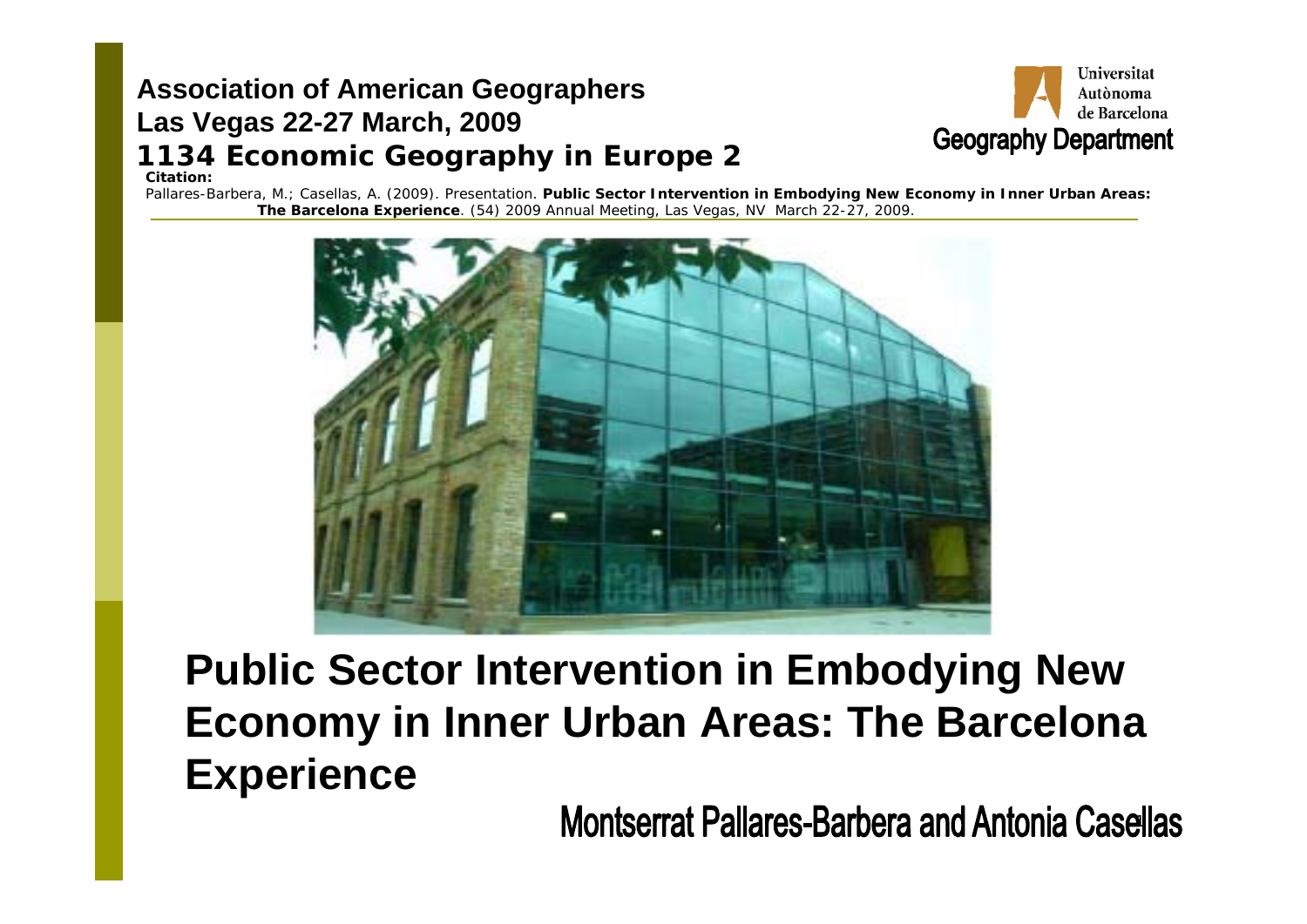#### **Association of American Geographers Las Vegas 22-27 March, 2009 1134 Economic Geography in Europe <sup>2</sup> Citation:**



Pallares-Barbera, M.; Casellas, A. (2009). Presentation. *Public Sector Intervention in Embodying New Economy in Inner Urban Areas: The Barcelona Experience*. *(54) 2009 Annual Meeting, Las Vegas, NV* March 22-27, 2009.



**Public Sector Intervention in Embodying New Economy in Inner Urban Areas: The Barcelona Experience** 

1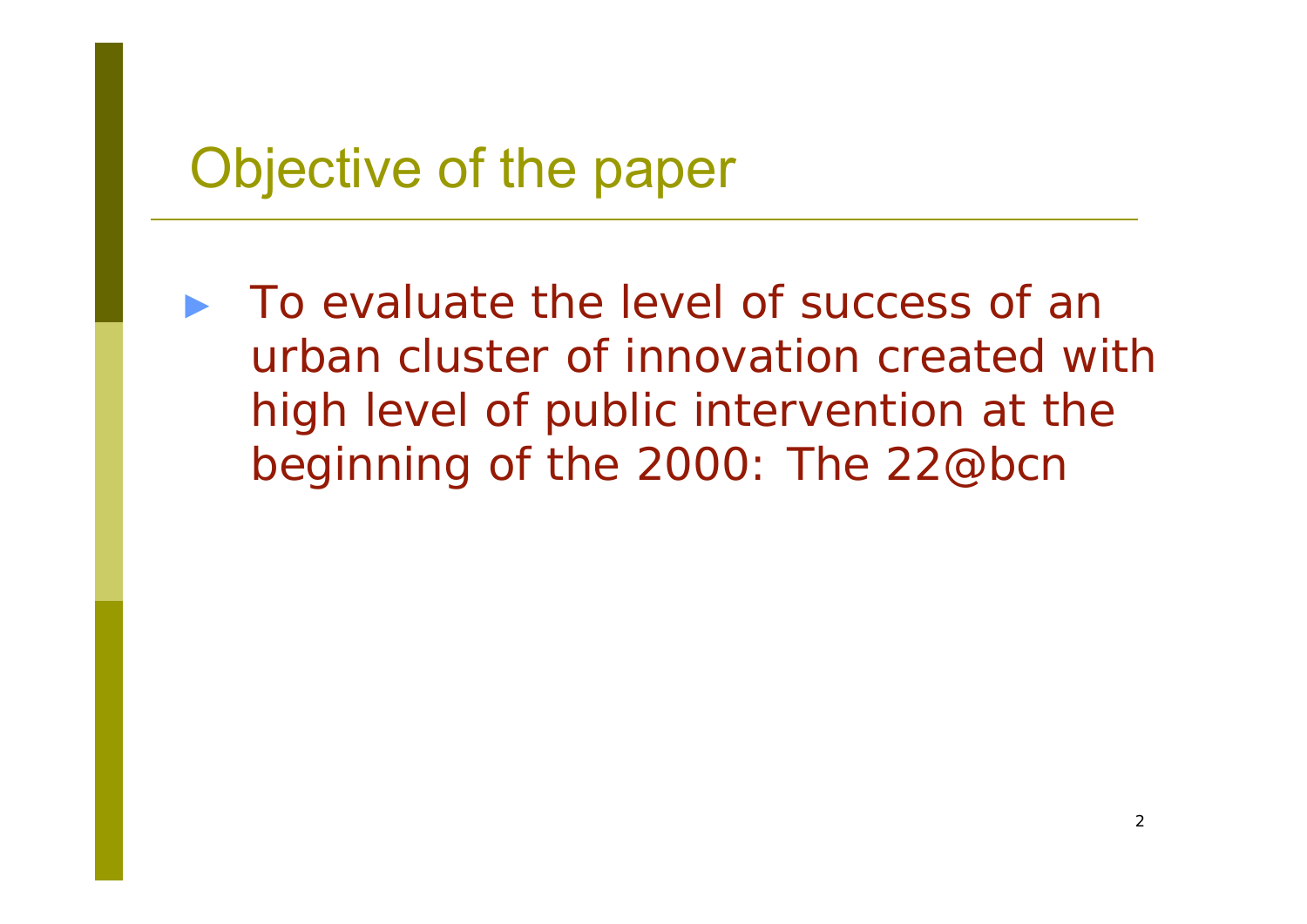#### Objective of the paper

► To evaluate the level of success of an urban cluster of innovation created with high level of public intervention at the beginning of the 2000: The 22@bcn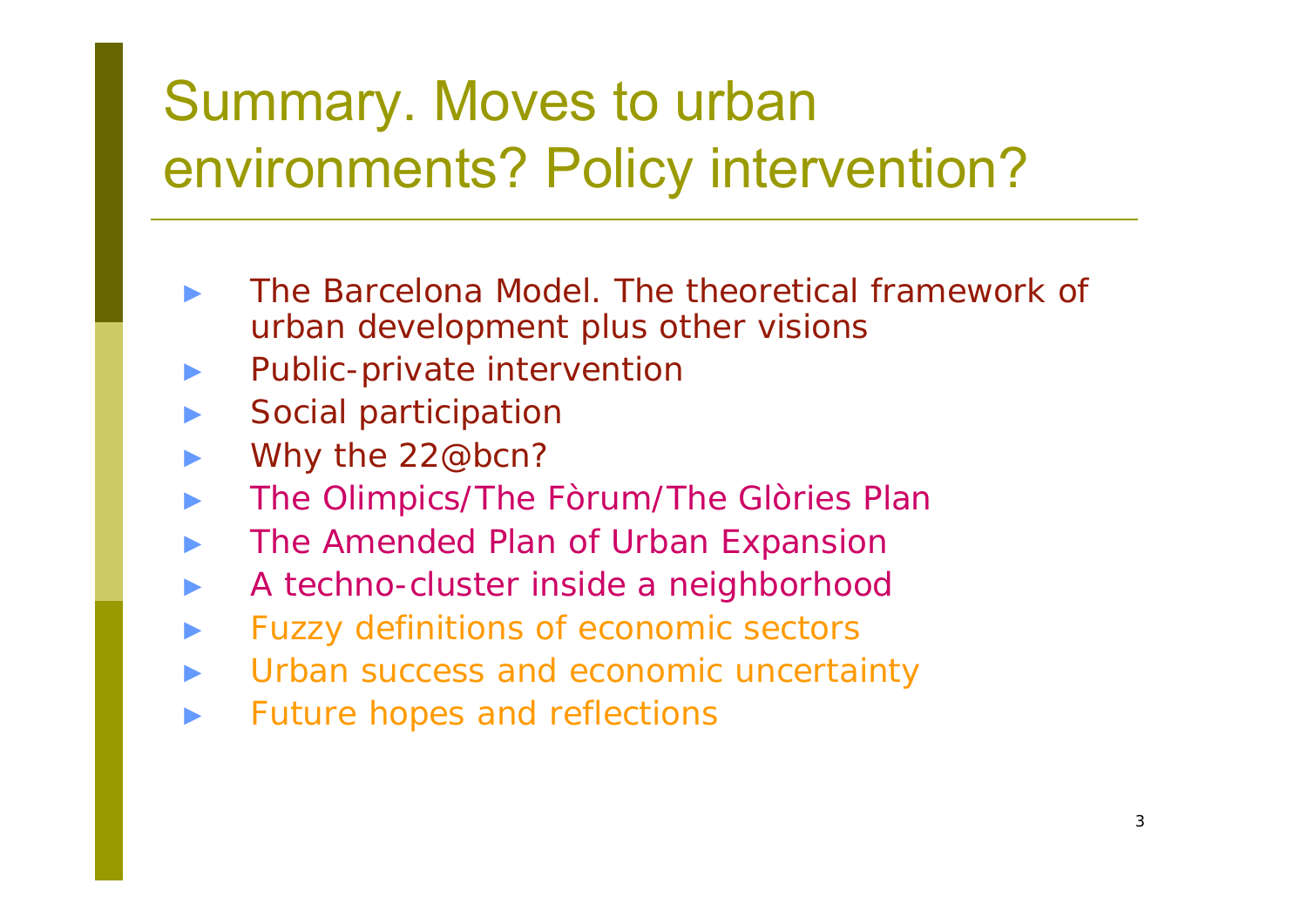## Summary. Moves to urban environments? Policy intervention?

- ► The Barcelona Model. The theoretical framework of urban development plus other visions
- ►Public-private intervention
- ►Social participation
- ►Why the 22@bcn?
- ►The Olimpics/The Fòrum/The Glòries Plan
- ►The Amended Plan of Urban Expansion
- ►A techno-cluster inside a neighborhood
- ►Fuzzy definitions of economic sectors
- ►Urban success and economic uncertainty
- ►Future hopes and reflections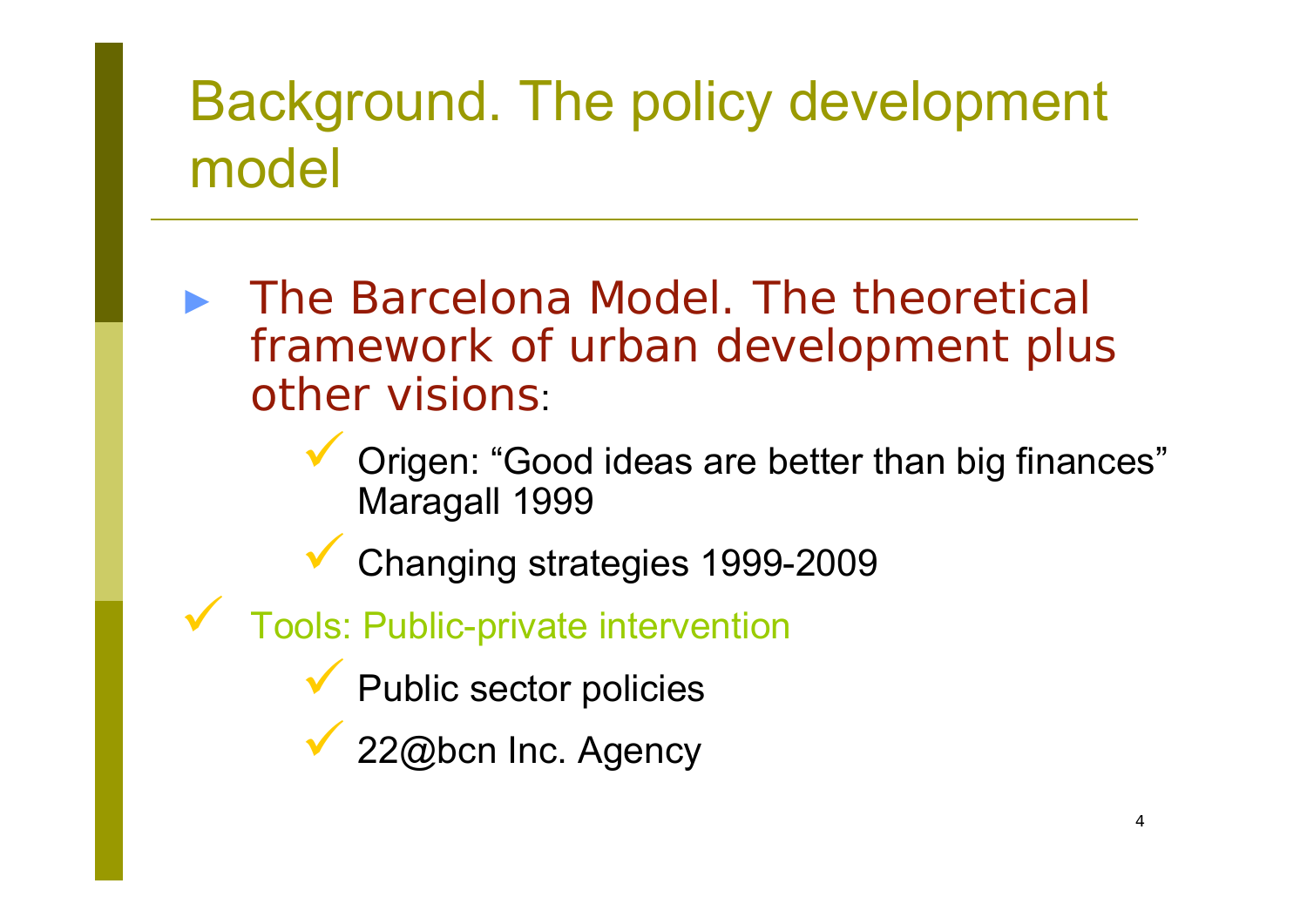## Background. The policy development model

- ► The Barcelona Model. The theoretical framework of urban development plus other visions:
	- $\checkmark$ **V** Origen: "Good ideas are better than big finances" Maragall 1999
	- $\checkmark$ Changing strategies 1999-2009
- $\checkmark$  Tools: Public-private intervention
	- $\checkmark$ **Y** Public sector policies
	- $\checkmark$ 22@bcn Inc. Agency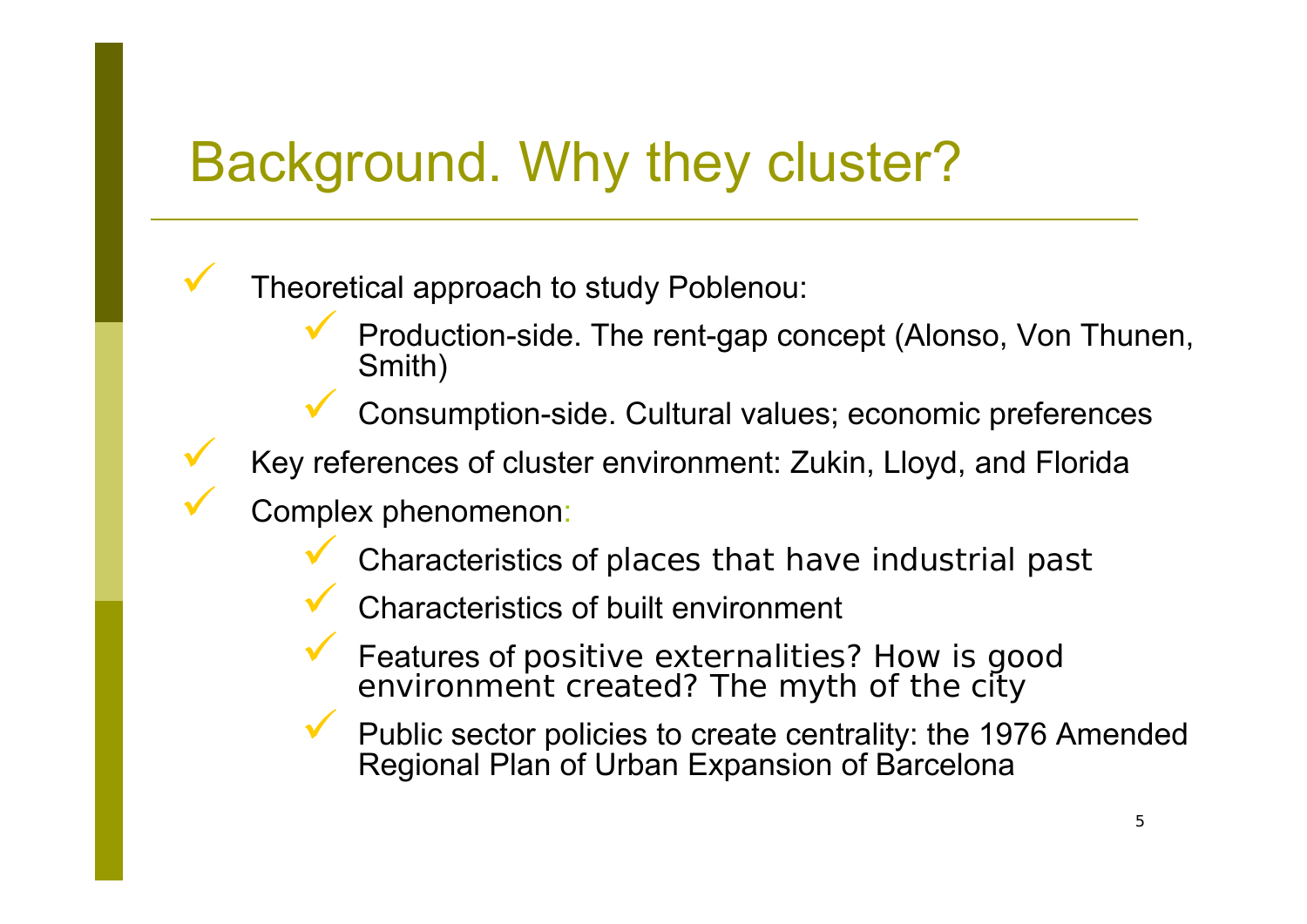#### Background. Why they cluster?

Theoretical approach to study Poblenou:

 $\checkmark$  Production-side. The rent-gap concept (Alonso, Von Thunen, Smith)

 $\checkmark$ Consumption-side. Cultural values; economic preferences

Key references of cluster environment: Zukin, Lloyd, and Florida

Complex phenomenon:

 $\checkmark$ 

 $\checkmark$ 

 $\checkmark$ 

- $\checkmark$ Characteristics of places that have industrial past
- $\checkmark$ Characteristics of built environment
- $\checkmark$  Features of positive externalities? How is good environment created? The myth of the city
- $\checkmark$  Public sector policies to create centrality: the 1976 Amended Regional Plan of Urban Expansion of Barcelona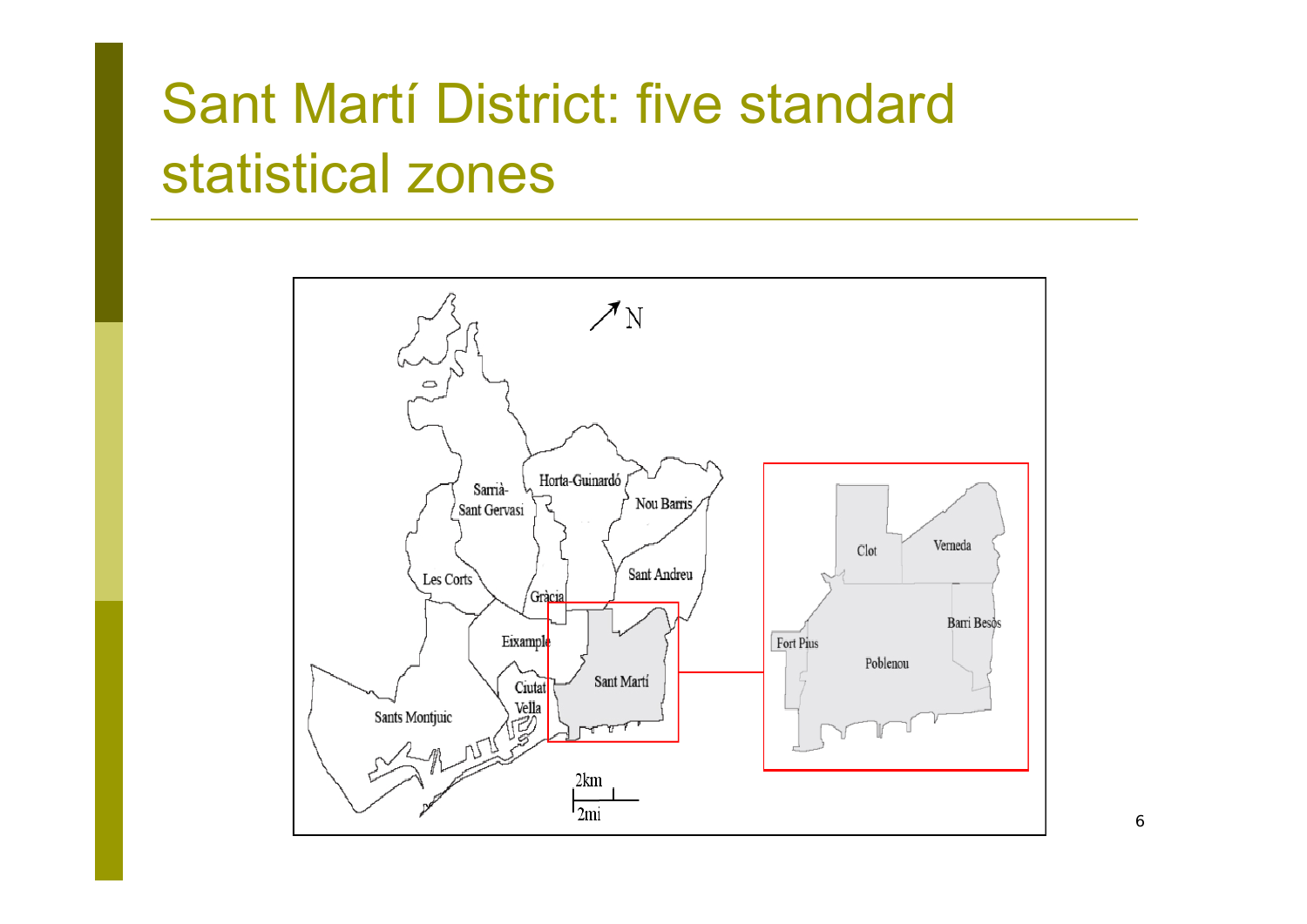## Sant Martí District: five standard statistical zones

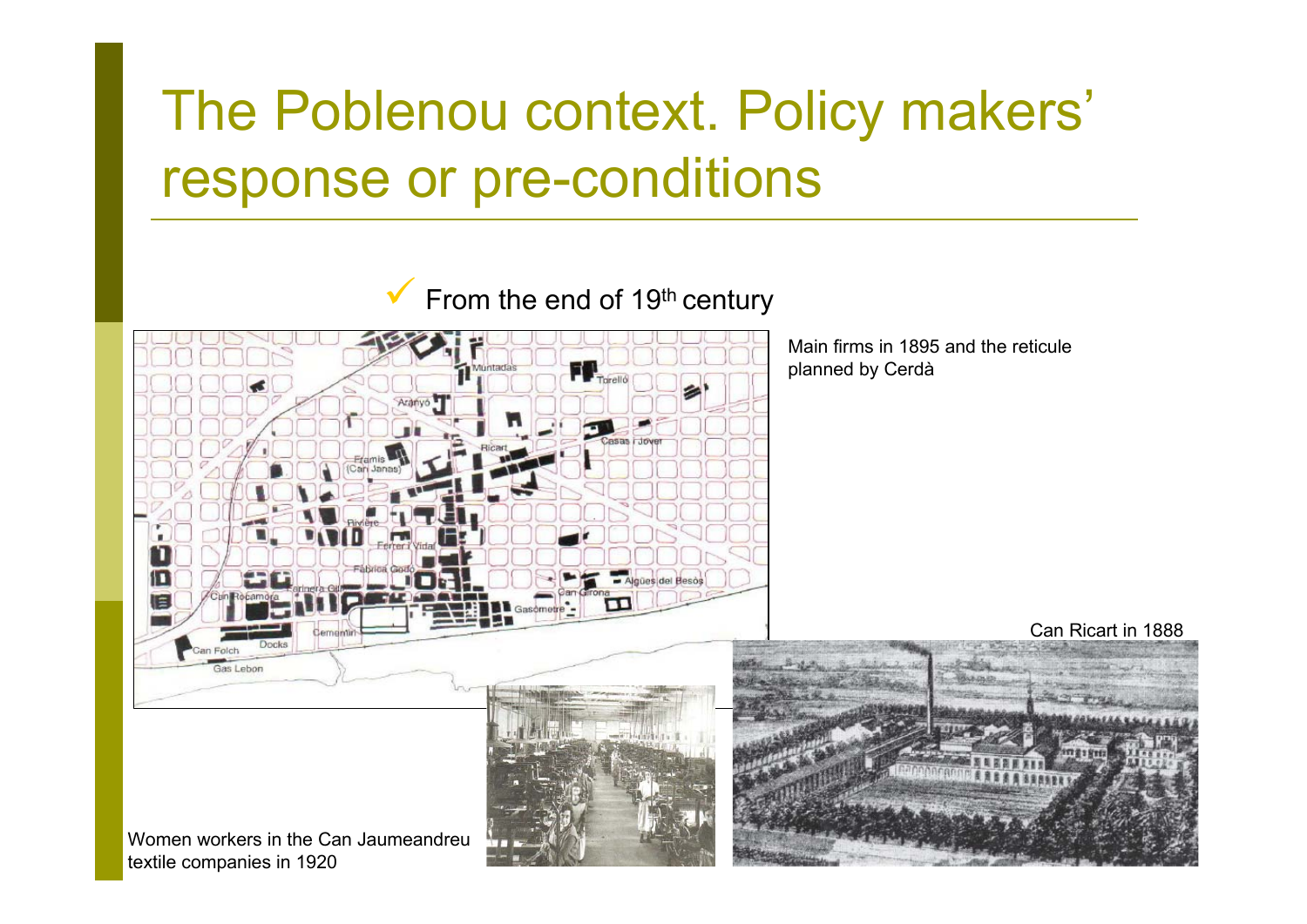## The Poblenou context. Policy makers' response or pre-conditions

 $\checkmark$ From the end of 19<sup>th</sup> century



textile companies in 1920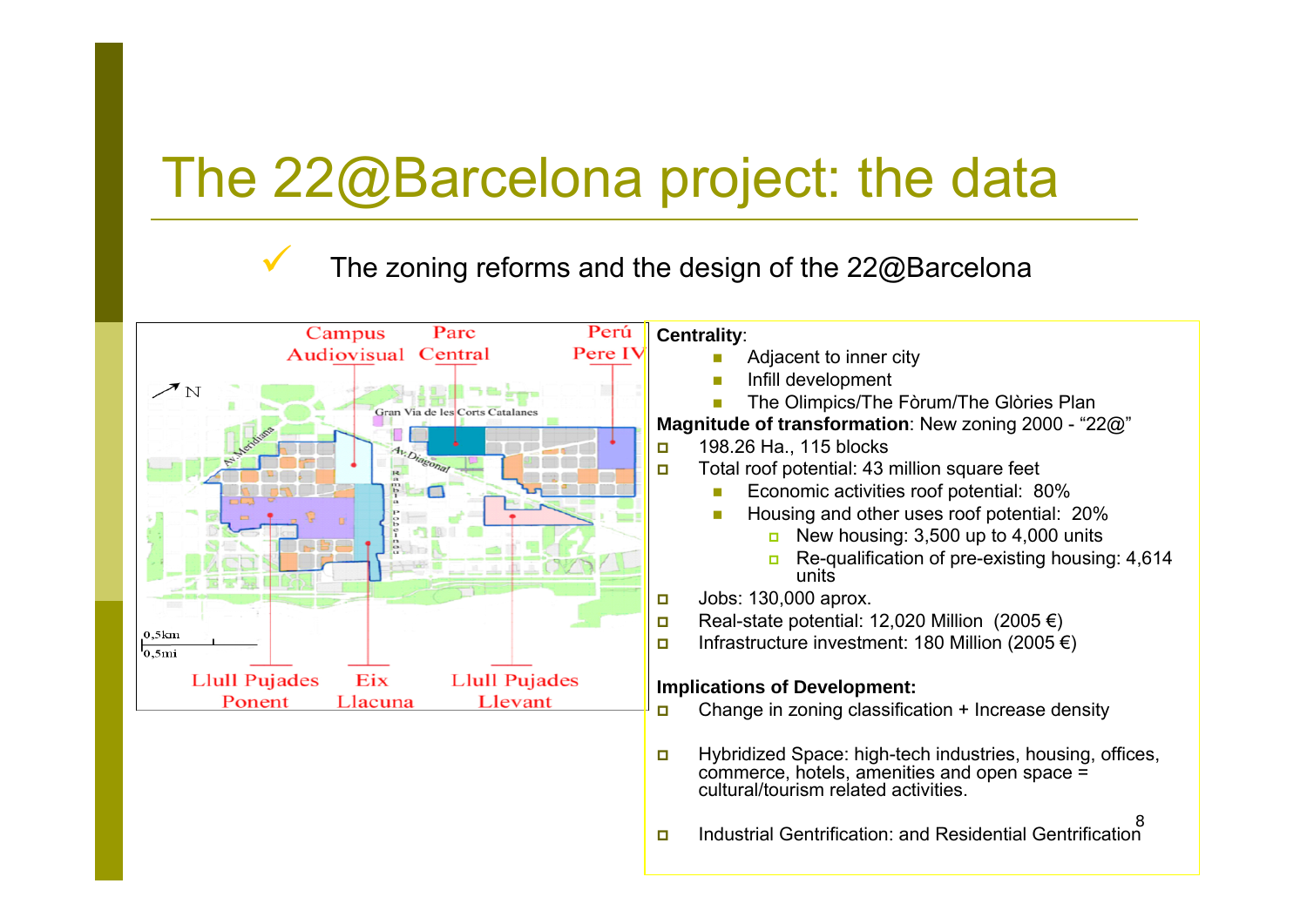### The 22@Barcelona project: the data

 $\checkmark$ 

#### The zoning reforms and the design of the 22@Barcelona

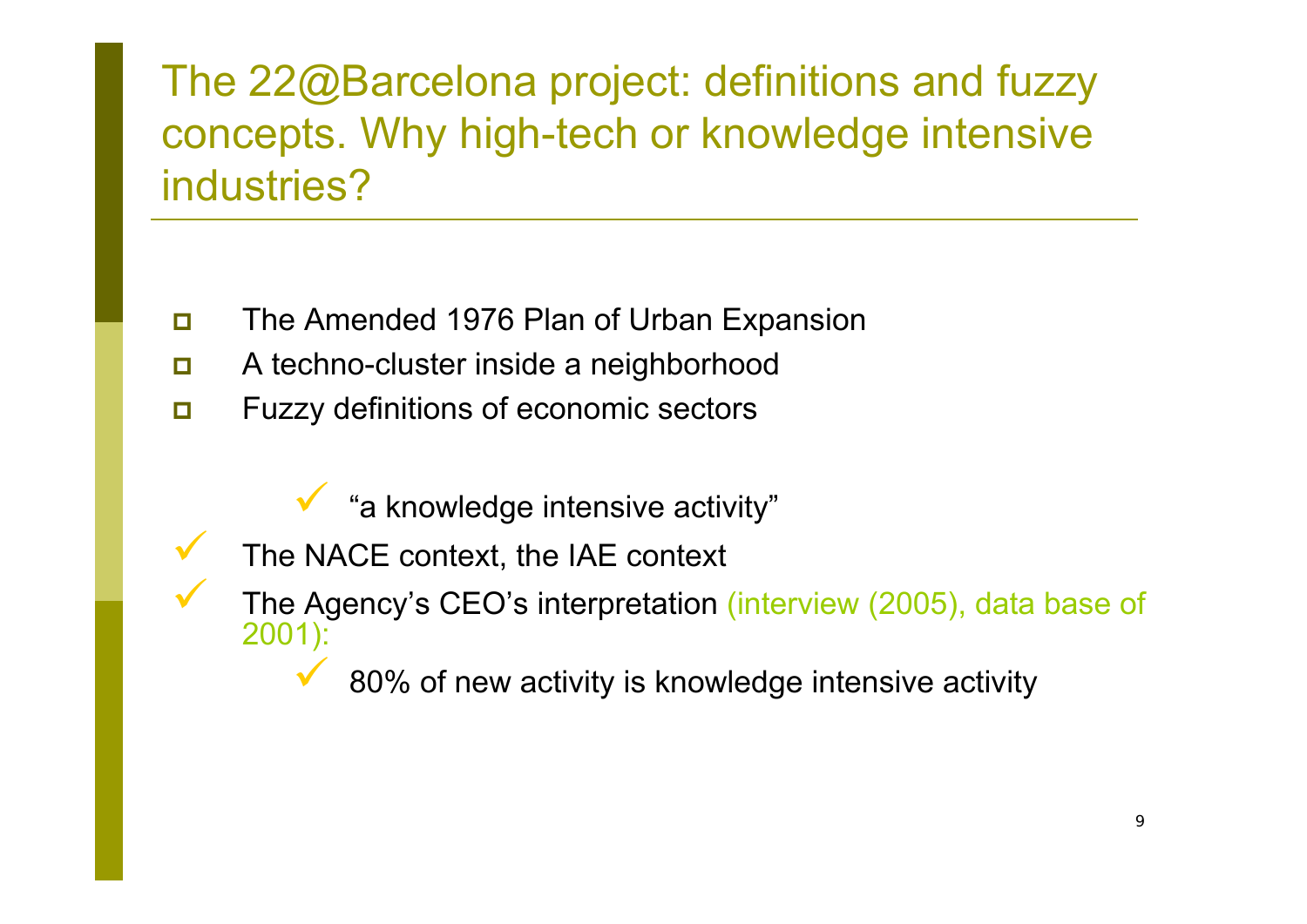The 22@Barcelona project: definitions and fuzzy concepts. Why high-tech or knowledge intensive industries?

- $\Box$ The Amended 1976 Plan of Urban Expansion
- $\Box$ A techno-cluster inside a neighborhood
- $\Box$  Fuzzy definitions of economic sectors
	- $\checkmark$ "a knowledge intensive activity"
	- The NACE context, the IAE context

 $\checkmark$ 

 $\checkmark$ 

- The Agency's CEO's interpretation (interview (2005), data base of 2001):
	- $\checkmark$ 80% of new activity is knowledge intensive activity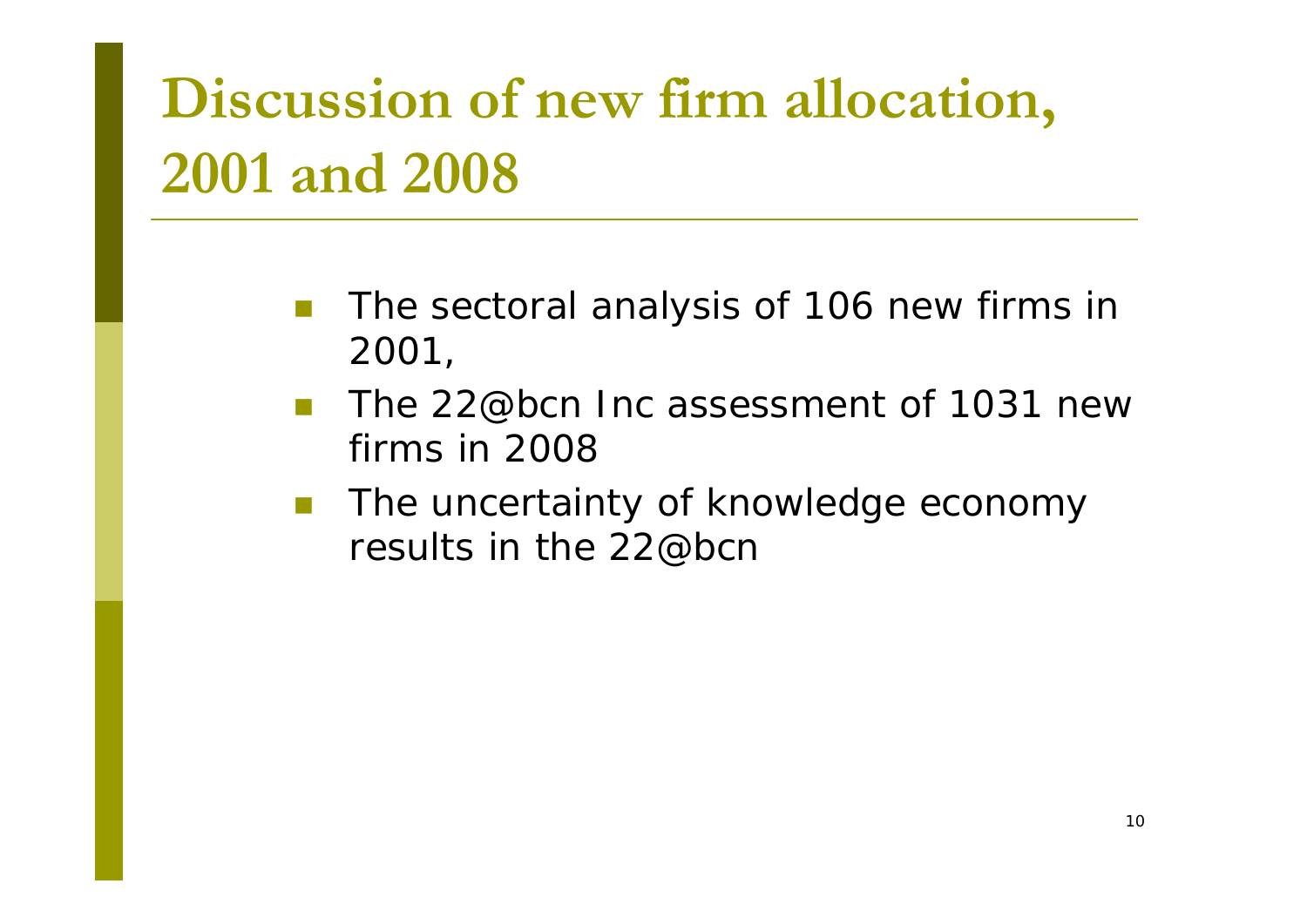# **Discussion of new firm allocation, 2001 and 2008**

- The sectoral analysis of 106 new firms in 2001,
- The 22@bcn Inc assessment of 1031 new firms in 2008
- T. The uncertainty of knowledge economy results in the 22@bcn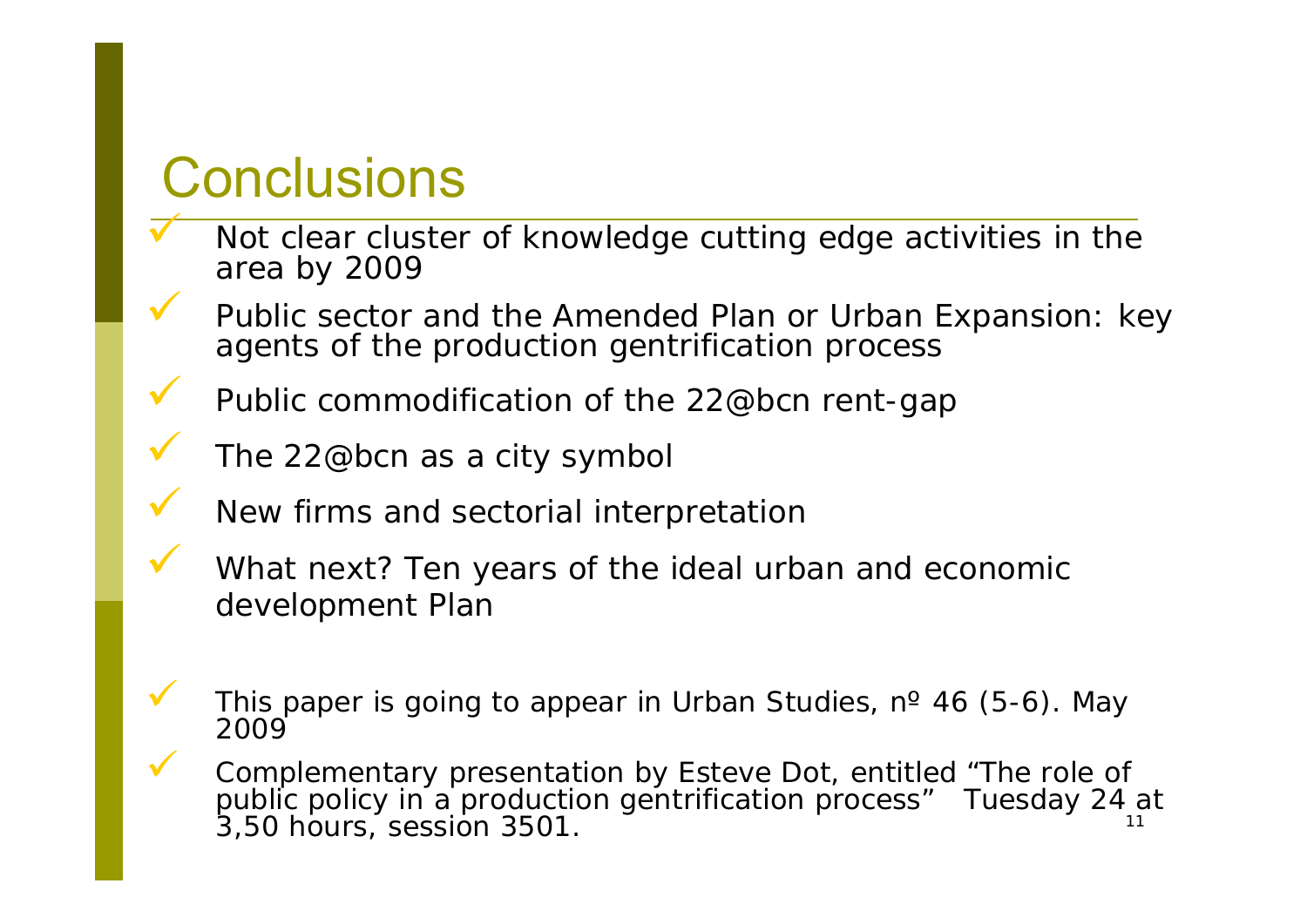#### **Conclusions**

 $\overline{\checkmark}$ 

 $\checkmark$ 

 $\checkmark$ 

 $\checkmark$ 

 $\checkmark$ 

 $\checkmark$ 

 $\checkmark$ 

 $\checkmark$ 

- Not clear cluster of knowledge cutting edge activities in the area by 2009
- Public sector and the Amended Plan or Urban Expansion: key agents of the production gentrification process
- Public commodification of the 22@bcn rent-gap
- The 22@bcn as a city symbol
- New firms and sectorial interpretation
- What next? Ten years of the ideal urban and economic development Plan
- This paper is going to appear in *Urban Studies*, n<sup>º</sup> 46 (5-6). May 2009
- 11 **V** Complementary presentation by Esteve Dot, entitled "The role of public policy in a production gentrification process" Tuesday 24 at 3,50 hours, session 3501.